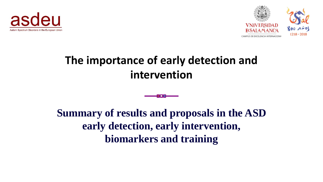



#### **The importance of early detection and intervention**

**Summary of results and proposals in the ASD early detection, early intervention, biomarkers and training**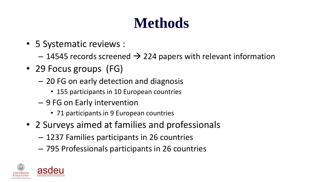## **Methods**

- 5 Systematic reviews :
	- $-$  14545 records screened  $\rightarrow$  224 papers with relevant information
- 29 Focus groups (FG)
	- 20 FG on early detection and diagnosis
		- 155 participants in 10 European countries
	- 9 FG on Early intervention
		- 71 participants in 9 European countries
- 2 Surveys aimed at families and professionals
	- 1237 Families participants in 26 countries
	- 795 Professionals participants in 26 countries

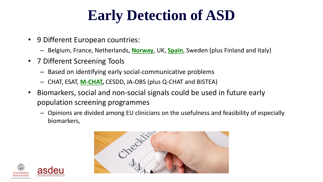## **Early Detection of ASD**

- 9 Different European countries:
	- Belgium, France, Netherlands, **Norway**, UK, **Spain**, Sweden (plus Finland and Italy)
- 7 Different Screening Tools
	- Based on identifying early social-communicative problems
	- CHAT, ESAT, **M-CHAT,** CESDD, JA-OBS (plus Q-CHAT and BISTEA)
- Biomarkers, social and non-social signals could be used in future early population screening programmes
	- Opinions are divided among EU clinicians on the usefulness and feasibility of especially biomarkers,



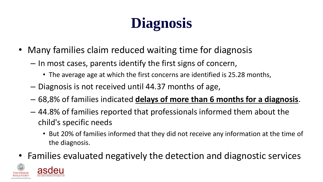# **Diagnosis**

- Many families claim reduced waiting time for diagnosis
	- $-$  In most cases, parents identify the first signs of concern,
		- The average age at which the first concerns are identified is 25.28 months,
	- Diagnosis is not received until 44.37 months of age,
	- $-$  68,8% of families indicated **delays of more than 6 months for a diagnosis**.
	- 44.8% of families reported that professionals informed them about the child's specific needs
		- **•** But 20% of families informed that they did not receive any information at the time of the diagnosis.
- Families evaluated negatively the detection and diagnostic services

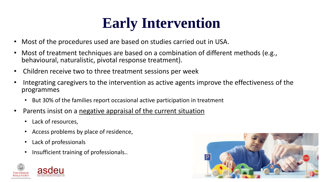## **Early Intervention**

- Most of the procedures used are based on studies carried out in USA.
- Most of treatment techniques are based on a combination of different methods (e.g., behavioural, naturalistic, pivotal response treatment).
- Children receive two to three treatment sessions per week
- Integrating caregivers to the intervention as active agents improve the effectiveness of the programmes
	- But 30% of the families report occasional active participation in treatment
- Parents insist on a negative appraisal of the current situation
	- Lack of resources,
	- Access problems by place of residence,
	- Lack of professionals
	- Insufficient training of professionals..